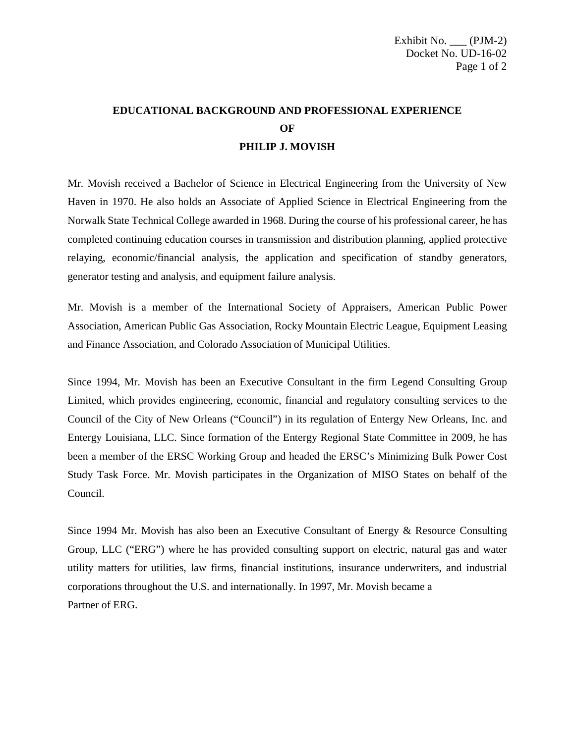## **EDUCATIONAL BACKGROUND AND PROFESSIONAL EXPERIENCE OF PHILIP J. MOVISH**

Mr. Movish received a Bachelor of Science in Electrical Engineering from the University of New Haven in 1970. He also holds an Associate of Applied Science in Electrical Engineering from the Norwalk State Technical College awarded in 1968. During the course of his professional career, he has completed continuing education courses in transmission and distribution planning, applied protective relaying, economic/financial analysis, the application and specification of standby generators, generator testing and analysis, and equipment failure analysis.

Mr. Movish is a member of the International Society of Appraisers, American Public Power Association, American Public Gas Association, Rocky Mountain Electric League, Equipment Leasing and Finance Association, and Colorado Association of Municipal Utilities.

Since 1994, Mr. Movish has been an Executive Consultant in the firm Legend Consulting Group Limited, which provides engineering, economic, financial and regulatory consulting services to the Council of the City of New Orleans ("Council") in its regulation of Entergy New Orleans, Inc. and Entergy Louisiana, LLC. Since formation of the Entergy Regional State Committee in 2009, he has been a member of the ERSC Working Group and headed the ERSC's Minimizing Bulk Power Cost Study Task Force. Mr. Movish participates in the Organization of MISO States on behalf of the Council.

Since 1994 Mr. Movish has also been an Executive Consultant of Energy & Resource Consulting Group, LLC ("ERG") where he has provided consulting support on electric, natural gas and water utility matters for utilities, law firms, financial institutions, insurance underwriters, and industrial corporations throughout the U.S. and internationally. In 1997, Mr. Movish became a Partner of ERG.